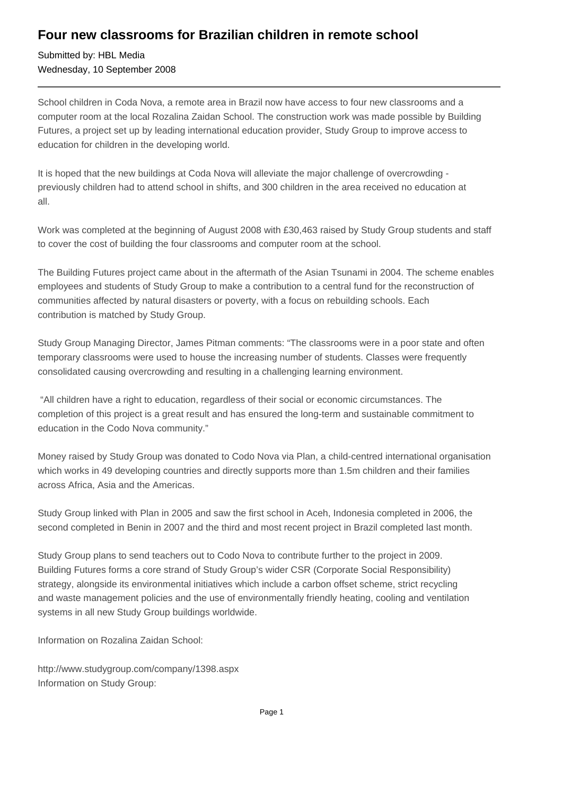## **Four new classrooms for Brazilian children in remote school**

Submitted by: HBL Media Wednesday, 10 September 2008

School children in Coda Nova, a remote area in Brazil now have access to four new classrooms and a computer room at the local Rozalina Zaidan School. The construction work was made possible by Building Futures, a project set up by leading international education provider, Study Group to improve access to education for children in the developing world.

It is hoped that the new buildings at Coda Nova will alleviate the major challenge of overcrowding previously children had to attend school in shifts, and 300 children in the area received no education at all.

Work was completed at the beginning of August 2008 with £30,463 raised by Study Group students and staff to cover the cost of building the four classrooms and computer room at the school.

The Building Futures project came about in the aftermath of the Asian Tsunami in 2004. The scheme enables employees and students of Study Group to make a contribution to a central fund for the reconstruction of communities affected by natural disasters or poverty, with a focus on rebuilding schools. Each contribution is matched by Study Group.

Study Group Managing Director, James Pitman comments: "The classrooms were in a poor state and often temporary classrooms were used to house the increasing number of students. Classes were frequently consolidated causing overcrowding and resulting in a challenging learning environment.

 "All children have a right to education, regardless of their social or economic circumstances. The completion of this project is a great result and has ensured the long-term and sustainable commitment to education in the Codo Nova community."

Money raised by Study Group was donated to Codo Nova via Plan, a child-centred international organisation which works in 49 developing countries and directly supports more than 1.5m children and their families across Africa, Asia and the Americas.

Study Group linked with Plan in 2005 and saw the first school in Aceh, Indonesia completed in 2006, the second completed in Benin in 2007 and the third and most recent project in Brazil completed last month.

Study Group plans to send teachers out to Codo Nova to contribute further to the project in 2009. Building Futures forms a core strand of Study Group's wider CSR (Corporate Social Responsibility) strategy, alongside its environmental initiatives which include a carbon offset scheme, strict recycling and waste management policies and the use of environmentally friendly heating, cooling and ventilation systems in all new Study Group buildings worldwide.

Information on Rozalina Zaidan School:

http://www.studygroup.com/company/1398.aspx Information on Study Group: